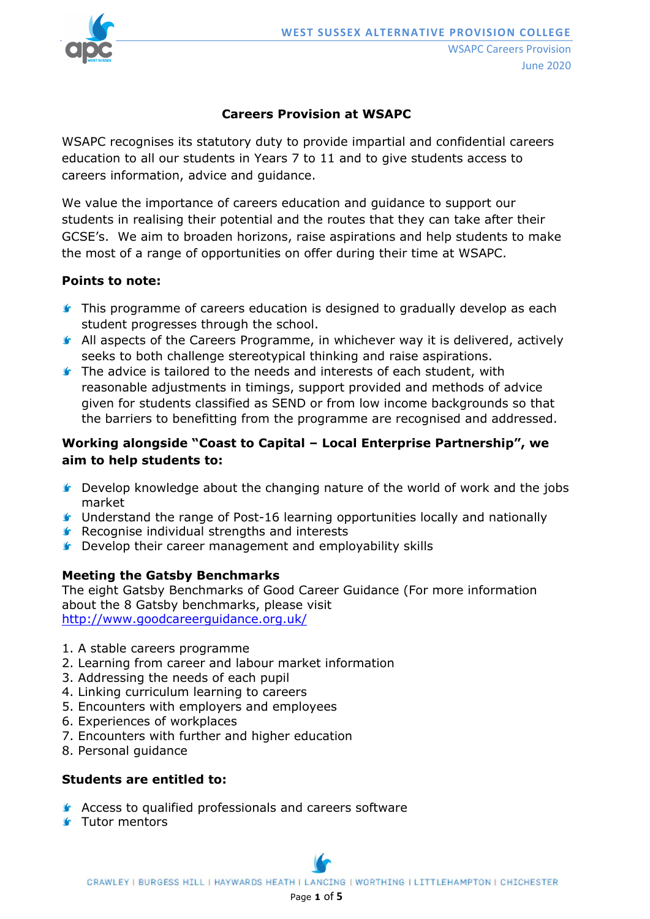

## **Careers Provision at WSAPC**

WSAPC recognises its statutory duty to provide impartial and confidential careers education to all our students in Years 7 to 11 and to give students access to careers information, advice and guidance.

We value the importance of careers education and guidance to support our students in realising their potential and the routes that they can take after their GCSE's. We aim to broaden horizons, raise aspirations and help students to make the most of a range of opportunities on offer during their time at WSAPC.

### **Points to note:**

- **This programme of careers education is designed to gradually develop as each** student progresses through the school.
- **All aspects of the Careers Programme, in whichever way it is delivered, actively** seeks to both challenge stereotypical thinking and raise aspirations.
- **The advice is tailored to the needs and interests of each student, with** reasonable adjustments in timings, support provided and methods of advice given for students classified as SEND or from low income backgrounds so that the barriers to benefitting from the programme are recognised and addressed.

# **Working alongside "Coast to Capital – Local Enterprise Partnership", we aim to help students to:**

- **C** Develop knowledge about the changing nature of the world of work and the jobs market
- Understand the range of Post-16 learning opportunities locally and nationally
- **Recognise individual strengths and interests**
- **C** Develop their career management and employability skills

### **Meeting the Gatsby Benchmarks**

The eight Gatsby Benchmarks of Good Career Guidance (For more information about the 8 Gatsby benchmarks, please visit <http://www.goodcareerguidance.org.uk/>

- 1. A stable careers programme
- 2. Learning from career and labour market information
- 3. Addressing the needs of each pupil
- 4. Linking curriculum learning to careers
- 5. Encounters with employers and employees
- 6. Experiences of workplaces
- 7. Encounters with further and higher education
- 8. Personal guidance

### **Students are entitled to:**

- **Access to qualified professionals and careers software**
- **Status** Tutor mentors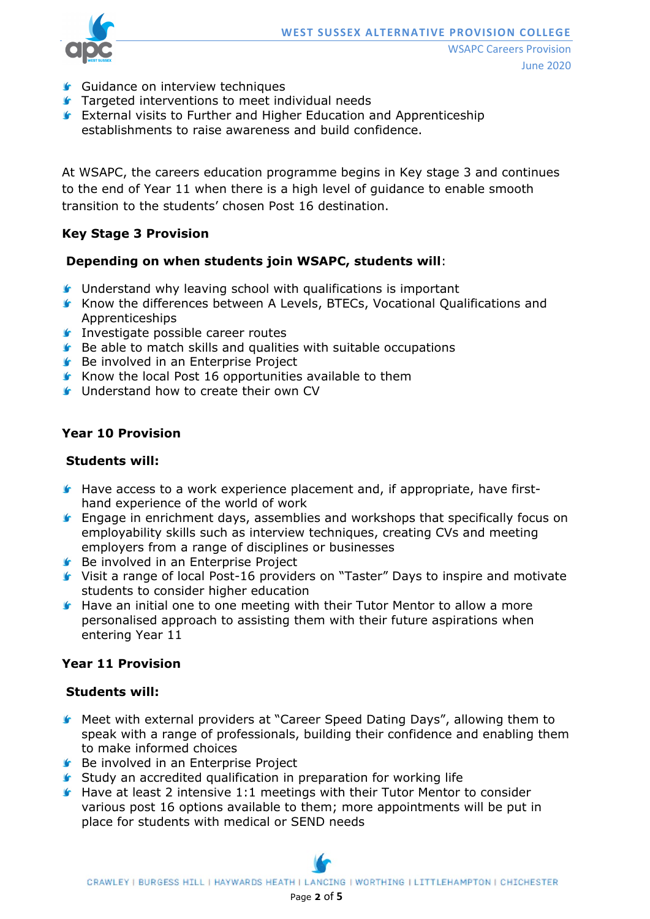

- **Guidance on interview techniques**
- **Targeted interventions to meet individual needs**
- **External visits to Further and Higher Education and Apprenticeship** establishments to raise awareness and build confidence.

At WSAPC, the careers education programme begins in Key stage 3 and continues to the end of Year 11 when there is a high level of guidance to enable smooth transition to the students' chosen Post 16 destination.

# **Key Stage 3 Provision**

### **Depending on when students join WSAPC, students will**:

- **If** Understand why leaving school with qualifications is important
- Know the differences between A Levels, BTECs, Vocational Qualifications and Apprenticeships
- **Investigate possible career routes**
- **Be able to match skills and qualities with suitable occupations**
- **Be involved in an Enterprise Project**
- Know the local Post 16 opportunities available to them
- **C** Understand how to create their own CV

### **Year 10 Provision**

#### **Students will:**

- $\blacktriangleright$  Have access to a work experience placement and, if appropriate, have firsthand experience of the world of work
- **F** Engage in enrichment days, assemblies and workshops that specifically focus on employability skills such as interview techniques, creating CVs and meeting employers from a range of disciplines or businesses
- **Be involved in an Enterprise Project**
- Visit a range of local Post-16 providers on "Taster" Days to inspire and motivate students to consider higher education
- **K** Have an initial one to one meeting with their Tutor Mentor to allow a more personalised approach to assisting them with their future aspirations when entering Year 11

### **Year 11 Provision**

### **Students will:**

- Meet with external providers at "Career Speed Dating Days", allowing them to speak with a range of professionals, building their confidence and enabling them to make informed choices
- **Be involved in an Enterprise Project**
- **Study an accredited qualification in preparation for working life**
- $\blacktriangleright$  Have at least 2 intensive 1:1 meetings with their Tutor Mentor to consider various post 16 options available to them; more appointments will be put in place for students with medical or SEND needs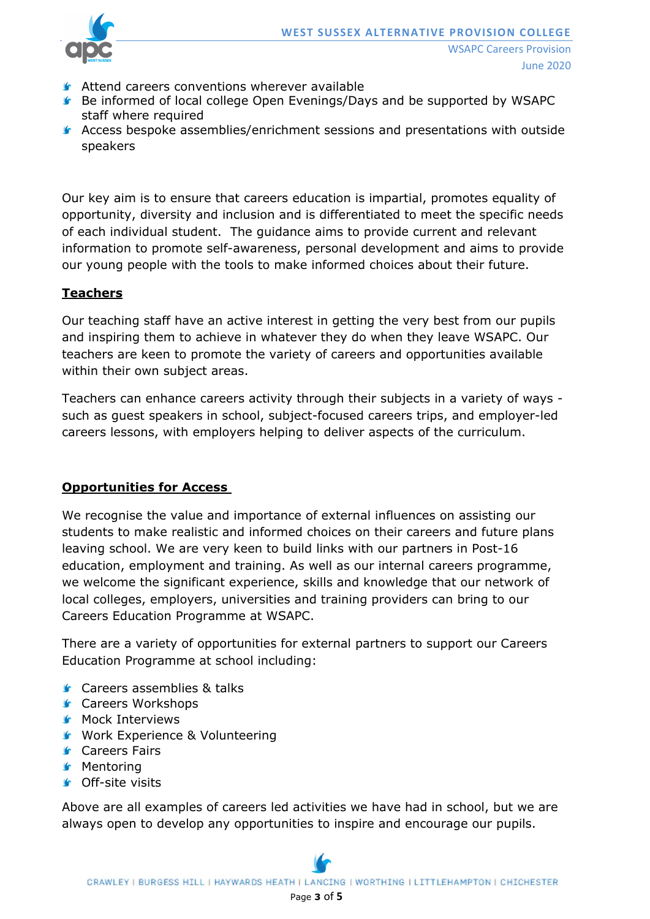

- Attend careers conventions wherever available
- Be informed of local college Open Evenings/Days and be supported by WSAPC staff where required
- Access bespoke assemblies/enrichment sessions and presentations with outside speakers

Our key aim is to ensure that careers education is impartial, promotes equality of opportunity, diversity and inclusion and is differentiated to meet the specific needs of each individual student. The guidance aims to provide current and relevant information to promote self-awareness, personal development and aims to provide our young people with the tools to make informed choices about their future.

## **Teachers**

Our teaching staff have an active interest in getting the very best from our pupils and inspiring them to achieve in whatever they do when they leave WSAPC. Our teachers are keen to promote the variety of careers and opportunities available within their own subject areas.

Teachers can enhance careers activity through their subjects in a variety of ways such as guest speakers in school, subject-focused careers trips, and employer-led careers lessons, with employers helping to deliver aspects of the curriculum.

# **Opportunities for Access**

We recognise the value and importance of external influences on assisting our students to make realistic and informed choices on their careers and future plans leaving school. We are very keen to build links with our partners in Post-16 education, employment and training. As well as our internal careers programme, we welcome the significant experience, skills and knowledge that our network of local colleges, employers, universities and training providers can bring to our Careers Education Programme at WSAPC.

There are a variety of opportunities for external partners to support our Careers Education Programme at school including:

- **G** Careers assemblies & talks
- **G** Careers Workshops
- **K** Mock Interviews
- **Work Experience & Volunteering**
- **Gareers Fairs**
- **K** Mentoring
- **G** Off-site visits

Above are all examples of careers led activities we have had in school, but we are always open to develop any opportunities to inspire and encourage our pupils.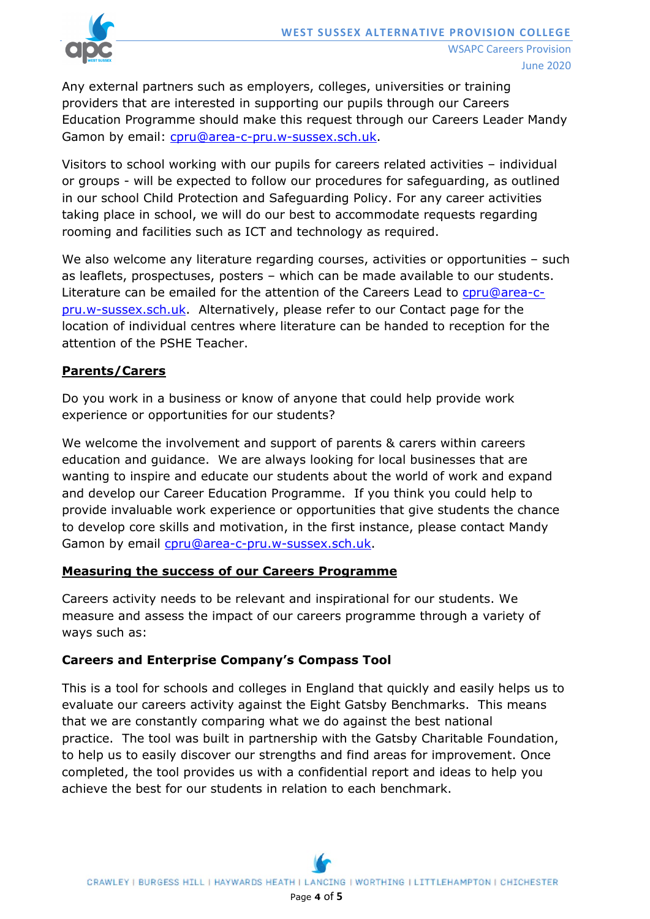

Any external partners such as employers, colleges, universities or training providers that are interested in supporting our pupils through our Careers Education Programme should make this request through our Careers Leader Mandy Gamon by email: [cpru@area-c-pru.w-sussex.sch.uk.](mailto:cpru@area-c-pru.w-sussex.sch.uk)

Visitors to school working with our pupils for careers related activities – individual or groups - will be expected to follow our procedures for safeguarding, as outlined in our school Child Protection and Safeguarding Policy. For any career activities taking place in school, we will do our best to accommodate requests regarding rooming and facilities such as ICT and technology as required.

We also welcome any literature regarding courses, activities or opportunities – such as leaflets, prospectuses, posters – which can be made available to our students. Literature can be emailed for the attention of the Careers Lead to [cpru@area-c](mailto:cpru@area-c-pru.w-sussex.sch.uk)[pru.w-sussex.sch.uk.](mailto:cpru@area-c-pru.w-sussex.sch.uk) Alternatively, please refer to our Contact page for the location of individual centres where literature can be handed to reception for the attention of the PSHE Teacher.

### **Parents/Carers**

Do you work in a business or know of anyone that could help provide work experience or opportunities for our students?

We welcome the involvement and support of parents & carers within careers education and guidance. We are always looking for local businesses that are wanting to inspire and educate our students about the world of work and expand and develop our Career Education Programme. If you think you could help to provide invaluable work experience or opportunities that give students the chance to develop core skills and motivation, in the first instance, please contact Mandy Gamon by email [cpru@area-c-pru.w-sussex.sch.uk.](mailto:cpru@area-c-pru.w-sussex.sch.uk)

### **Measuring the success of our Careers Programme**

Careers activity needs to be relevant and inspirational for our students. We measure and assess the impact of our careers programme through a variety of ways such as:

### **Careers and Enterprise Company's Compass Tool**

This is a tool for schools and colleges in England that quickly and easily helps us to evaluate our careers activity against the Eight Gatsby Benchmarks. This means that we are constantly comparing what we do against the best national practice. The tool was built in partnership with the Gatsby Charitable Foundation, to help us to easily discover our strengths and find areas for improvement. Once completed, the tool provides us with a confidential report and ideas to help you achieve the best for our students in relation to each benchmark.